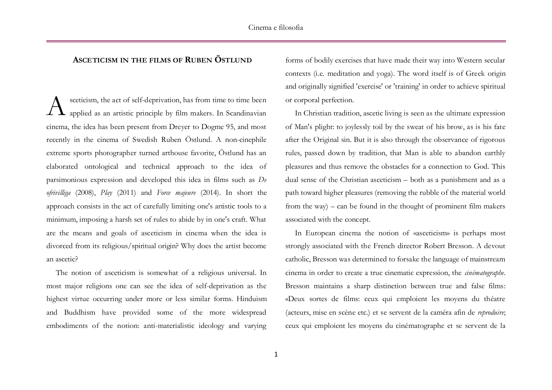## **ASCETICISM IN THE FILMS OF RUBEN ÖSTLUND**

sceticism, the act of self-deprivation, has from time to time been applied as an artistic principle by film makers. In Scandinavian cinema, the idea has been present from Dreyer to Dogme 95, and most recently in the cinema of Swedish Ruben Östlund. A non-cinephile extreme sports photographer turned arthouse favorite, Östlund has an elaborated ontological and technical approach to the idea of parsimonious expression and developed this idea in films such as *De ofrivilliga* (2008), *Play* (2011) and *Force majeure* (2014). In short the approach consists in the act of carefully limiting one's artistic tools to a minimum, imposing a harsh set of rules to abide by in one's craft. What are the means and goals of asceticism in cinema when the idea is divorced from its religious/spiritual origin? Why does the artist become an ascetic? A

The notion of asceticism is somewhat of a religious universal. In most major religions one can see the idea of self-deprivation as the highest virtue occurring under more or less similar forms. Hinduism and Buddhism have provided some of the more widespread embodiments of the notion: anti-materialistic ideology and varying

forms of bodily exercises that have made their way into Western secular contexts (i.e. meditation and yoga). The word itself is of Greek origin and originally signified 'exercise' or 'training' in order to achieve spiritual or corporal perfection.

In Christian tradition, ascetic living is seen as the ultimate expression of Man's plight: to joylessly toil by the sweat of his brow, as is his fate after the Original sin. But it is also through the observance of rigorous rules, passed down by tradition, that Man is able to abandon earthly pleasures and thus remove the obstacles for a connection to God. This dual sense of the Christian asceticism – both as a punishment and as a path toward higher pleasures (removing the rubble of the material world from the way) – can be found in the thought of prominent film makers associated with the concept.

In European cinema the notion of «asceticism» is perhaps most strongly associated with the French director Robert Bresson. A devout catholic, Bresson was determined to forsake the language of mainstream cinema in order to create a true cinematic expression, the *cinématographe.* Bresson maintains a sharp distinction between true and false films: «Deux sortes de films: ceux qui emploient les moyens du théatre (acteurs, mise en scène etc.) et se servent de la caméra afin de *reproduire*; ceux qui emploient les moyens du cinématographe et se servent de la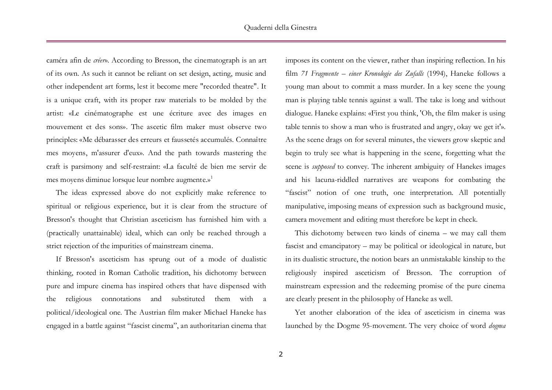caméra afin de *créer*». According to Bresson, the cinematograph is an art of its own. As such it cannot be reliant on set design, acting, music and other independent art forms, lest it become mere "recorded theatre". It is a unique craft, with its proper raw materials to be molded by the artist: «Le cinématographe est une écriture avec des images en mouvement et des sons». The ascetic film maker must observe two principles: «Me débarasser des erreurs et faussetés accumulés. Connaître mes moyens, m'assurer d'eux». And the path towards mastering the craft is parsimony and self-restraint: «La faculté de bien me servir de mes moyens diminue lorsque leur nombre augmente.» 1

The ideas expressed above do not explicitly make reference to spiritual or religious experience, but it is clear from the structure of Bresson's thought that Christian asceticism has furnished him with a (practically unattainable) ideal, which can only be reached through a strict rejection of the impurities of mainstream cinema.

If Bresson's asceticism has sprung out of a mode of dualistic thinking, rooted in Roman Catholic tradition, his dichotomy between pure and impure cinema has inspired others that have dispensed with the religious connotations and substituted them with a political/ideological one. The Austrian film maker Michael Haneke has engaged in a battle against "fascist cinema", an authoritarian cinema that

imposes its content on the viewer, rather than inspiring reflection. In his film *71 Fragmente – einer Kronologie des Zufalls* (1994), Haneke follows a young man about to commit a mass murder. In a key scene the young man is playing table tennis against a wall. The take is long and without dialogue. Haneke explains: «First you think, 'Oh, the film maker is using table tennis to show a man who is frustrated and angry, okay we get it'». As the scene drags on for several minutes, the viewers grow skeptic and begin to truly see what is happening in the scene, forgetting what the scene is *supposed* to convey. The inherent ambiguity of Hanekes images and his lacuna-riddled narratives are weapons for combating the "fascist" notion of one truth, one interpretation. All potentially manipulative, imposing means of expression such as background music, camera movement and editing must therefore be kept in check.

This dichotomy between two kinds of cinema – we may call them fascist and emancipatory – may be political or ideological in nature, but in its dualistic structure, the notion bears an unmistakable kinship to the religiously inspired asceticism of Bresson. The corruption of mainstream expression and the redeeming promise of the pure cinema are clearly present in the philosophy of Haneke as well.

Yet another elaboration of the idea of asceticism in cinema was launched by the Dogme 95-movement. The very choice of word *dogma*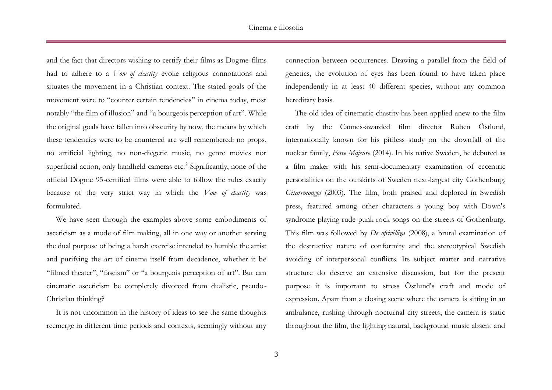and the fact that directors wishing to certify their films as Dogme-films had to adhere to a *Vow of chastity* evoke religious connotations and situates the movement in a Christian context. The stated goals of the movement were to "counter certain tendencies" in cinema today, most notably "the film of illusion" and "a bourgeois perception of art". While the original goals have fallen into obscurity by now, the means by which these tendencies were to be countered are well remembered: no props, no artificial lighting, no non-diegetic music, no genre movies nor superficial action, only handheld cameras etc.<sup>2</sup> Significantly, none of the official Dogme 95-certified films were able to follow the rules exactly because of the very strict way in which the *Vow of chastity* was formulated.

We have seen through the examples above some embodiments of asceticism as a mode of film making, all in one way or another serving the dual purpose of being a harsh exercise intended to humble the artist and purifying the art of cinema itself from decadence, whether it be "filmed theater", "fascism" or "a bourgeois perception of art". But can cinematic asceticism be completely divorced from dualistic, pseudo-Christian thinking?

It is not uncommon in the history of ideas to see the same thoughts reemerge in different time periods and contexts, seemingly without any connection between occurrences. Drawing a parallel from the field of genetics, the evolution of eyes has been found to have taken place independently in at least 40 different species, without any common hereditary basis.

The old idea of cinematic chastity has been applied anew to the film craft by the Cannes-awarded film director Ruben Östlund, internationally known for his pitiless study on the downfall of the nuclear family, *Force Majeure* (2014). In his native Sweden, he debuted as a film maker with his semi-documentary examination of eccentric personalities on the outskirts of Sweden next-largest city Gothenburg, *Gitarrmongot* (2003). The film, both praised and deplored in Swedish press, featured among other characters a young boy with Down's syndrome playing rude punk rock songs on the streets of Gothenburg. This film was followed by *De ofrivilliga* (2008), a brutal examination of the destructive nature of conformity and the stereotypical Swedish avoiding of interpersonal conflicts. Its subject matter and narrative structure do deserve an extensive discussion, but for the present purpose it is important to stress Östlund's craft and mode of expression. Apart from a closing scene where the camera is sitting in an ambulance, rushing through nocturnal city streets, the camera is static throughout the film, the lighting natural, background music absent and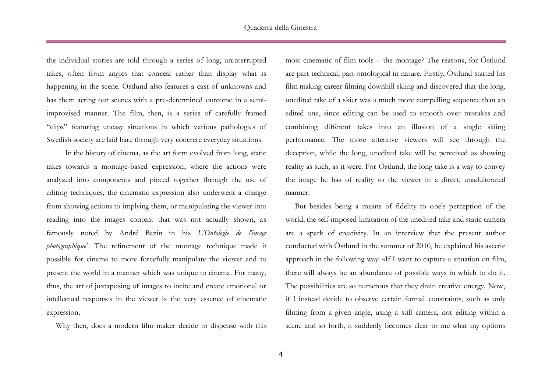the individual stories are told through a series of long, uninterrupted takes, often from angles that conceal rather than display what is happening in the scene. Östlund also features a cast of unknowns and has them acting out scenes with a pre-determined outcome in a semiimprovised manner. The film, then, is a series of carefully framed "clips" featuring uneasy situations in which various pathologies of Swedish society are laid bare through very concrete everyday situations.

In the history of cinema, as the art form evolved from long, static takes towards a montage-based expression, where the actions were analyzed into components and pieced together through the use of editing techniques, the cinematic expression also underwent a change from showing actions to implying them, or manipulating the viewer into reading into the images content that was not actually shown, as famously noted by André Bazin in his *L'Ontologie de l'image photographique<sup>3</sup>* . The refinement of the montage technique made it possible for cinema to more forcefully manipulate the viewer and to present the world in a manner which was unique to cinema. For many, thus, the art of juxtaposing of images to incite and create emotional or intellectual responses in the viewer is the very essence of cinematic expression.

Why then, does a modern film maker decide to dispense with this

most cinematic of film tools – the montage? The reasons, for Östlund are part technical, part ontological in nature. Firstly, Östlund started his film making career filming downhill skiing and discovered that the long, unedited take of a skier was a much more compelling sequence than an edited one, since editing can be used to smooth over mistakes and combining different takes into an illusion of a single skiing performance. The more attentive viewers will see through the deception, while the long, unedited take will be perceived as showing reality as such, as it were. For Östlund, the long take is a way to convey the image he has of reality to the viewer in a direct, unadulterated manner.

But besides being a means of fidelity to one's perception of the world, the self-imposed limitation of the unedited take and static camera are a spark of creativity. In an interview that the present author conducted with Östlund in the summer of 2010, he explained his ascetic approach in the following way: «If I want to capture a situation on film, there will always be an abundance of possible ways in which to do it. The possibilities are so numerous that they drain creative energy. Now, if I instead decide to observe certain formal constraints, such as only filming from a given angle, using a still camera, not editing within a scene and so forth, it suddenly becomes clear to me what my options